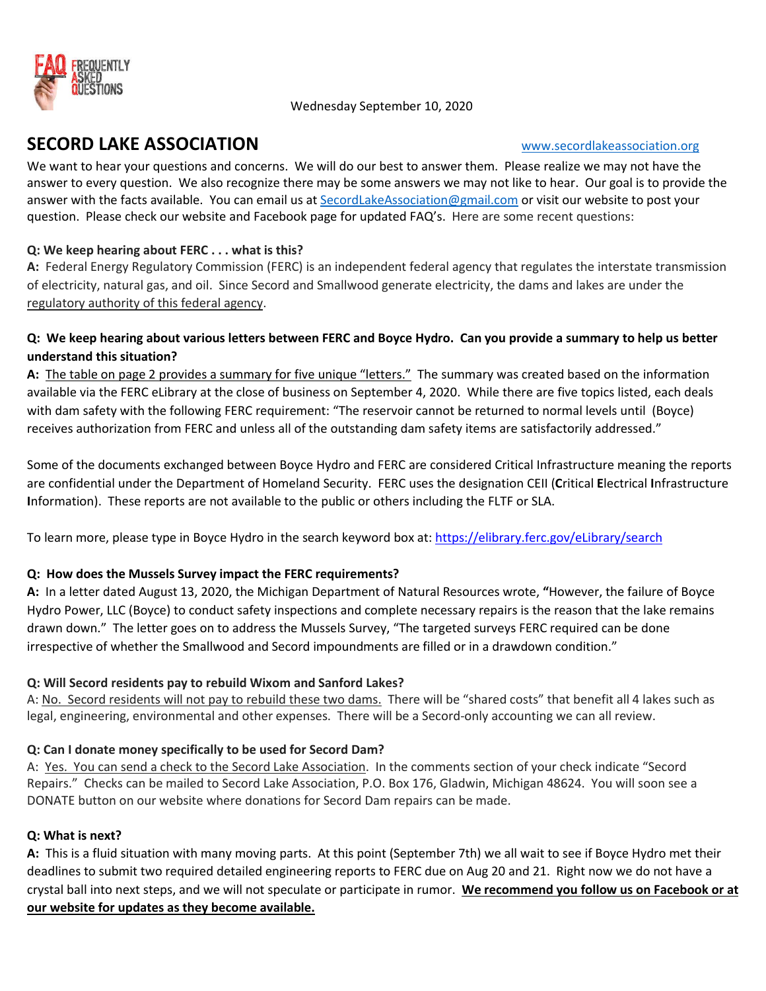

# SECORD LAKE ASSOCIATION WWW.secordlakeassociation.org

We want to hear your questions and concerns. We will do our best to answer them. Please realize we may not have the answer to every question. We also recognize there may be some answers we may not like to hear. Our goal is to provide the answer with the facts available. You can email us at SecordLakeAssociation@gmail.com or visit our website to post your question. Please check our website and Facebook page for updated FAQ's. Here are some recent questions:

## Q: We keep hearing about FERC . . . what is this?

A: Federal Energy Regulatory Commission (FERC) is an independent federal agency that regulates the interstate transmission of electricity, natural gas, and oil. Since Secord and Smallwood generate electricity, the dams and lakes are under the regulatory authority of this federal agency.

### Q: We keep hearing about various letters between FERC and Boyce Hydro. Can you provide a summary to help us better understand this situation?

A: The table on page 2 provides a summary for five unique "letters." The summary was created based on the information available via the FERC eLibrary at the close of business on September 4, 2020. While there are five topics listed, each deals with dam safety with the following FERC requirement: "The reservoir cannot be returned to normal levels until (Boyce) receives authorization from FERC and unless all of the outstanding dam safety items are satisfactorily addressed."

Some of the documents exchanged between Boyce Hydro and FERC are considered Critical Infrastructure meaning the reports are confidential under the Department of Homeland Security. FERC uses the designation CEII (Critical Electrical Infrastructure Information). These reports are not available to the public or others including the FLTF or SLA.

To learn more, please type in Boyce Hydro in the search keyword box at: https://elibrary.ferc.gov/eLibrary/search

### Q: How does the Mussels Survey impact the FERC requirements?

A: In a letter dated August 13, 2020, the Michigan Department of Natural Resources wrote, "However, the failure of Boyce Hydro Power, LLC (Boyce) to conduct safety inspections and complete necessary repairs is the reason that the lake remains drawn down." The letter goes on to address the Mussels Survey, "The targeted surveys FERC required can be done irrespective of whether the Smallwood and Secord impoundments are filled or in a drawdown condition."

### Q: Will Secord residents pay to rebuild Wixom and Sanford Lakes?

A: No. Secord residents will not pay to rebuild these two dams. There will be "shared costs" that benefit all 4 lakes such as legal, engineering, environmental and other expenses. There will be a Secord-only accounting we can all review.

### Q: Can I donate money specifically to be used for Secord Dam?

A: Yes. You can send a check to the Secord Lake Association. In the comments section of your check indicate "Secord Repairs." Checks can be mailed to Secord Lake Association, P.O. Box 176, Gladwin, Michigan 48624. You will soon see a DONATE button on our website where donations for Secord Dam repairs can be made.

### Q: What is next?

A: This is a fluid situation with many moving parts. At this point (September 7th) we all wait to see if Boyce Hydro met their deadlines to submit two required detailed engineering reports to FERC due on Aug 20 and 21. Right now we do not have a crystal ball into next steps, and we will not speculate or participate in rumor. We recommend you follow us on Facebook or at our website for updates as they become available.